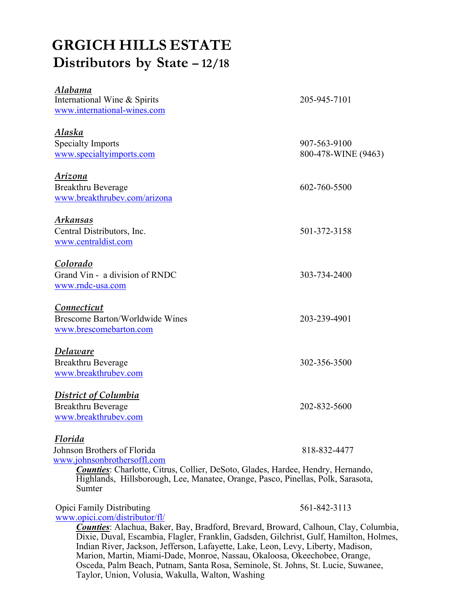## **GRGICH HILLS ESTATE Distributors by State – 12/18**

| <u>Alabama</u><br>International Wine & Spirits<br>www.international-wines.com                                                                                                                                                                                | 205-945-7101                        |
|--------------------------------------------------------------------------------------------------------------------------------------------------------------------------------------------------------------------------------------------------------------|-------------------------------------|
| Alaska<br><b>Specialty Imports</b><br>www.specialtyimports.com                                                                                                                                                                                               | 907-563-9100<br>800-478-WINE (9463) |
| Arizona<br>Breakthru Beverage<br>www.breakthrubev.com/arizona                                                                                                                                                                                                | 602-760-5500                        |
| Arkansas<br>Central Distributors, Inc.<br>www.centraldist.com                                                                                                                                                                                                | 501-372-3158                        |
| Colorado<br>Grand Vin - a division of RNDC<br>www.rndc-usa.com                                                                                                                                                                                               | 303-734-2400                        |
| Connecticut<br><b>Brescome Barton/Worldwide Wines</b><br>www.brescomebarton.com                                                                                                                                                                              | 203-239-4901                        |
| Delaware<br><b>Breakthru Beverage</b><br>www.breakthrubev.com                                                                                                                                                                                                | 302-356-3500                        |
| <b>District of Columbia</b><br><b>Breakthru Beverage</b><br>www.breakthrubev.com                                                                                                                                                                             | 202-832-5600                        |
| Florida<br>Johnson Brothers of Florida<br>www.johnsonbrothersoffl.com<br><b>Counties:</b> Charlotte, Citrus, Collier, DeSoto, Glades, Hardee, Hendry, Hernando,<br>Highlands, Hillsborough, Lee, Manatee, Orange, Pasco, Pinellas, Polk, Sarasota,<br>Sumter | 818-832-4477                        |
| <b>Opici Family Distributing</b>                                                                                                                                                                                                                             | 561-842-3113                        |

www.opici.com/distributor/fl/ *Counties*: Alachua, Baker, Bay, Bradford, Brevard, Broward, Calhoun, Clay, Columbia, Dixie, Duval, Escambia, Flagler, Franklin, Gadsden, Gilchrist, Gulf, Hamilton, Holmes, Indian River, Jackson, Jefferson, Lafayette, Lake, Leon, Levy, Liberty, Madison, Marion, Martin, Miami-Dade, Monroe, Nassau, Okaloosa, Okeechobee, Orange,

Osceda, Palm Beach, Putnam, Santa Rosa, Seminole, St. Johns, St. Lucie, Suwanee, Taylor, Union, Volusia, Wakulla, Walton, Washing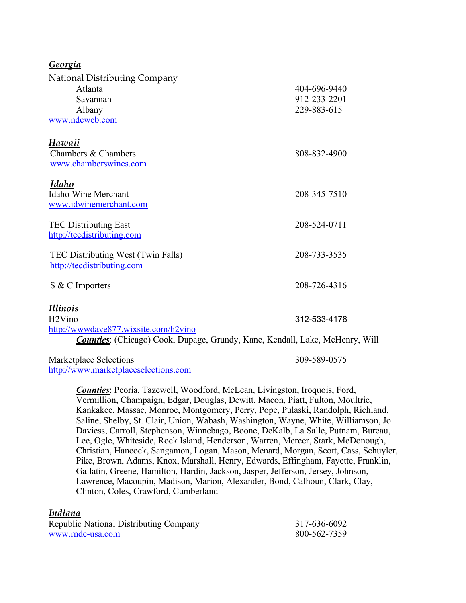| Georgia                                                                                                                                                               |                                             |
|-----------------------------------------------------------------------------------------------------------------------------------------------------------------------|---------------------------------------------|
| National Distributing Company<br>Atlanta<br>Savannah<br>Albany<br>www.ndcweb.com                                                                                      | 404-696-9440<br>912-233-2201<br>229-883-615 |
| Hawaii<br>Chambers & Chambers<br>www.chamberswines.com                                                                                                                | 808-832-4900                                |
| <b>Idaho</b><br>Idaho Wine Merchant<br>www.idwinemerchant.com                                                                                                         | 208-345-7510                                |
| <b>TEC Distributing East</b><br>http://tecdistributing.com                                                                                                            | 208-524-0711                                |
| TEC Distributing West (Twin Falls)<br>http://tecdistributing.com                                                                                                      | 208-733-3535                                |
| S & C Importers                                                                                                                                                       | 208-726-4316                                |
| <i>Illinois</i><br>H <sub>2</sub> Vino<br>http://wwwdave877.wixsite.com/h2vino<br><b>Counties:</b> (Chicago) Cook, Dupage, Grundy, Kane, Kendall, Lake, McHenry, Will | 312-533-4178                                |
| $\mathbf{M}$ 1.1 $\mathbf{C}$ 1.                                                                                                                                      | 300 FOO AFTE                                |

Marketplace Selections 309-589-0575 http://www.marketplaceselections.com

*Counties*: Peoria, Tazewell, Woodford, McLean, Livingston, Iroquois, Ford, Vermillion, Champaign, Edgar, Douglas, Dewitt, Macon, Piatt, Fulton, Moultrie, Kankakee, Massac, Monroe, Montgomery, Perry, Pope, Pulaski, Randolph, Richland, Saline, Shelby, St. Clair, Union, Wabash, Washington, Wayne, White, Williamson, Jo Daviess, Carroll, Stephenson, Winnebago, Boone, DeKalb, La Salle, Putnam, Bureau, Lee, Ogle, Whiteside, Rock Island, Henderson, Warren, Mercer, Stark, McDonough, Christian, Hancock, Sangamon, Logan, Mason, Menard, Morgan, Scott, Cass, Schuyler, Pike, Brown, Adams, Knox, Marshall, Henry, Edwards, Effingham, Fayette, Franklin, Gallatin, Greene, Hamilton, Hardin, Jackson, Jasper, Jefferson, Jersey, Johnson, Lawrence, Macoupin, Madison, Marion, Alexander, Bond, Calhoun, Clark, Clay, Clinton, Coles, Crawford, Cumberland

## *Indiana*

| Republic National Distributing Company | 317-636-6092 |
|----------------------------------------|--------------|
| www.rndc-usa.com                       | 800-562-7359 |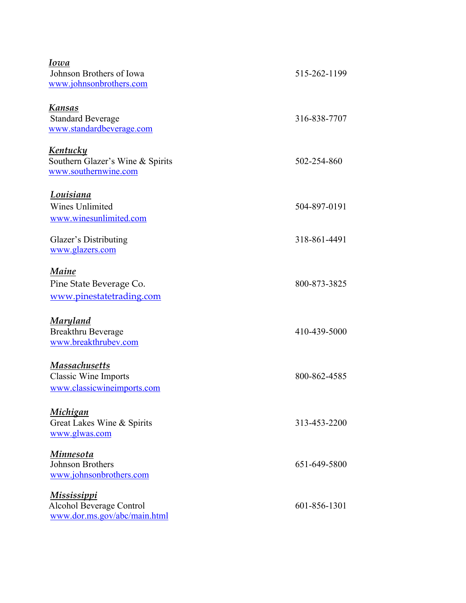| Iowa                             |              |
|----------------------------------|--------------|
| Johnson Brothers of Iowa         | 515-262-1199 |
| www.johnsonbrothers.com          |              |
| <b>Kansas</b>                    |              |
| <b>Standard Beverage</b>         | 316-838-7707 |
| www.standardbeverage.com         |              |
| <u>Kentucky</u>                  |              |
| Southern Glazer's Wine & Spirits | 502-254-860  |
| www.southernwine.com             |              |
| Louisiana                        |              |
| <b>Wines Unlimited</b>           | 504-897-0191 |
| www.winesunlimited.com           |              |
|                                  |              |
| Glazer's Distributing            | 318-861-4491 |
| www.glazers.com                  |              |
| Maine                            |              |
| Pine State Beverage Co.          | 800-873-3825 |
| www.pinestatetrading.com         |              |
| <u>Maryland</u>                  |              |
| Breakthru Beverage               | 410-439-5000 |
| www.breakthrubev.com             |              |
| <b>Massachusetts</b>             |              |
| <b>Classic Wine Imports</b>      | 800-862-4585 |
| www.classicwineimports.com       |              |
| <u>Michigan</u>                  |              |
| Great Lakes Wine & Spirits       | 313-453-2200 |
| www.glwas.com                    |              |
|                                  |              |
| Minnesota                        |              |
| Johnson Brothers                 | 651-649-5800 |
| www.johnsonbrothers.com          |              |
| Mississippi                      |              |
| Alcohol Beverage Control         | 601-856-1301 |
| www.dor.ms.gov/abc/main.html     |              |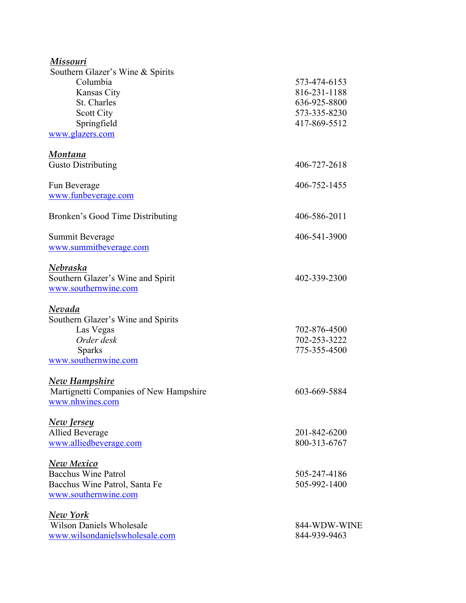| Missouri                               |              |
|----------------------------------------|--------------|
| Southern Glazer's Wine & Spirits       |              |
| Columbia                               | 573-474-6153 |
| Kansas City                            | 816-231-1188 |
| St. Charles                            | 636-925-8800 |
| Scott City                             | 573-335-8230 |
| Springfield                            | 417-869-5512 |
| www.glazers.com                        |              |
|                                        |              |
| Montana                                |              |
| <b>Gusto Distributing</b>              | 406-727-2618 |
| Fun Beverage                           | 406-752-1455 |
| www.funbeverage.com                    |              |
| Bronken's Good Time Distributing       | 406-586-2011 |
| Summit Beverage                        | 406-541-3900 |
| www.summitbeverage.com                 |              |
| Nebraska                               |              |
| Southern Glazer's Wine and Spirit      | 402-339-2300 |
| www.southernwine.com                   |              |
|                                        |              |
| Nevada                                 |              |
| Southern Glazer's Wine and Spirits     |              |
| Las Vegas                              | 702-876-4500 |
| Order desk                             | 702-253-3222 |
| <b>Sparks</b>                          | 775-355-4500 |
| www.southernwine.com                   |              |
|                                        |              |
| <b>New Hampshire</b>                   |              |
| Martignetti Companies of New Hampshire | 603-669-5884 |
| www.nhwines.com                        |              |
| <u>New Jersey</u>                      |              |
| <b>Allied Beverage</b>                 | 201-842-6200 |
| www.alliedbeverage.com                 | 800-313-6767 |
| <b>New Mexico</b>                      |              |
| <b>Bacchus Wine Patrol</b>             | 505-247-4186 |
| Bacchus Wine Patrol, Santa Fe          | 505-992-1400 |
| www.southernwine.com                   |              |
|                                        |              |
| <b>New York</b>                        |              |
| <b>Wilson Daniels Wholesale</b>        | 844-WDW-WINE |
| www.wilsondanielswholesale.com         | 844-939-9463 |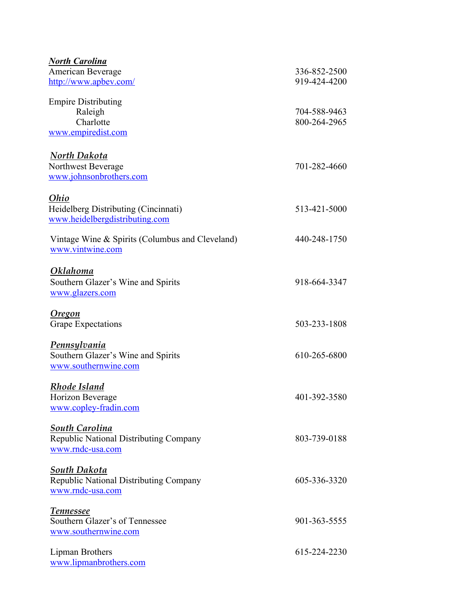| <b>North Carolina</b>                           |              |
|-------------------------------------------------|--------------|
| American Beverage                               | 336-852-2500 |
| http://www.apbev.com/                           | 919-424-4200 |
|                                                 |              |
| <b>Empire Distributing</b>                      |              |
| Raleigh                                         | 704-588-9463 |
| Charlotte                                       | 800-264-2965 |
| www.empiredist.com                              |              |
|                                                 |              |
| North Dakota                                    |              |
| Northwest Beverage                              | 701-282-4660 |
| www.johnsonbrothers.com                         |              |
| Ohio                                            |              |
|                                                 | 513-421-5000 |
| Heidelberg Distributing (Cincinnati)            |              |
| www.heidelbergdistributing.com                  |              |
| Vintage Wine & Spirits (Columbus and Cleveland) | 440-248-1750 |
| www.vintwine.com                                |              |
|                                                 |              |
| <b>Oklahoma</b>                                 |              |
| Southern Glazer's Wine and Spirits              | 918-664-3347 |
| www.glazers.com                                 |              |
|                                                 |              |
| <u>Oregon</u>                                   |              |
| <b>Grape Expectations</b>                       | 503-233-1808 |
|                                                 |              |
| <u>Pennsylvania</u>                             |              |
| Southern Glazer's Wine and Spirits              | 610-265-6800 |
| www.southernwine.com                            |              |
| <u>Rhode Island</u>                             |              |
| Horizon Beverage                                | 401-392-3580 |
| www.copley-fradin.com                           |              |
|                                                 |              |
| South Carolina                                  |              |
| Republic National Distributing Company          | 803-739-0188 |
| www.rndc-usa.com                                |              |
|                                                 |              |
| <b>South Dakota</b>                             |              |
| Republic National Distributing Company          | 605-336-3320 |
| www.rndc-usa.com                                |              |
|                                                 |              |
| <b>Tennessee</b>                                |              |
| Southern Glazer's of Tennessee                  | 901-363-5555 |
| www.southernwine.com                            |              |
| Lipman Brothers                                 | 615-224-2230 |
| www.lipmanbrothers.com                          |              |
|                                                 |              |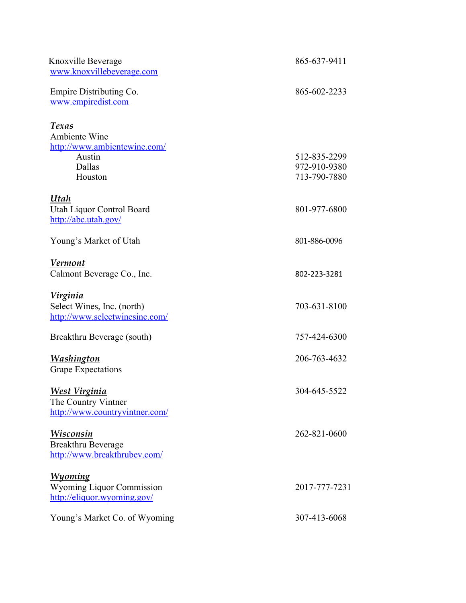| Knoxville Beverage<br>www.knoxvillebeverage.com                                                     | 865-637-9411                                 |
|-----------------------------------------------------------------------------------------------------|----------------------------------------------|
| Empire Distributing Co.<br>www.empiredist.com                                                       | 865-602-2233                                 |
| <u>Texas</u><br><b>Ambiente Wine</b><br>http://www.ambientewine.com/<br>Austin<br>Dallas<br>Houston | 512-835-2299<br>972-910-9380<br>713-790-7880 |
| Utah<br>Utah Liquor Control Board<br>http://abc.utah.gov/                                           | 801-977-6800                                 |
| Young's Market of Utah                                                                              | 801-886-0096                                 |
| <b>Vermont</b><br>Calmont Beverage Co., Inc.                                                        | 802-223-3281                                 |
| <u>Virginia</u><br>Select Wines, Inc. (north)<br>http://www.selectwinesinc.com/                     | 703-631-8100                                 |
| Breakthru Beverage (south)                                                                          | 757-424-6300                                 |
| <b>Washington</b><br><b>Grape Expectations</b>                                                      | 206-763-4632                                 |
| <u>West Virginia</u><br>The Country Vintner<br>http://www.countryvintner.com/                       | 304-645-5522                                 |
| Wisconsin<br>Breakthru Beverage<br>http://www.breakthrubev.com/                                     | 262-821-0600                                 |
| <b>Wyoming</b><br><b>Wyoming Liquor Commission</b><br>http://eliquor.wyoming.gov/                   | 2017-777-7231                                |
| Young's Market Co. of Wyoming                                                                       | 307-413-6068                                 |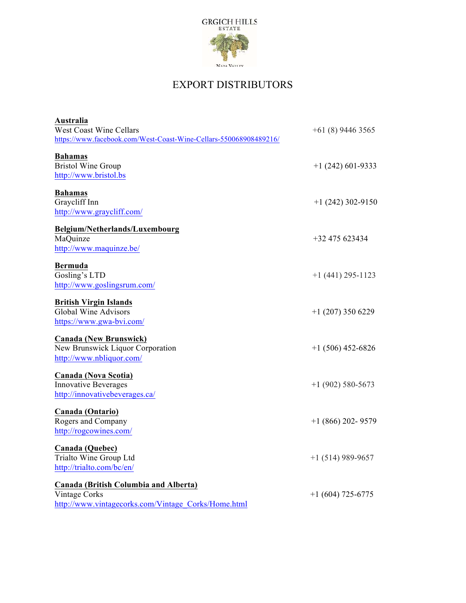

## EXPORT DISTRIBUTORS

| Australia                                                         |                     |
|-------------------------------------------------------------------|---------------------|
| West Coast Wine Cellars                                           | $+61(8)$ 9446 3565  |
| https://www.facebook.com/West-Coast-Wine-Cellars-550068908489216/ |                     |
| <b>Bahamas</b>                                                    |                     |
| <b>Bristol Wine Group</b>                                         | $+1(242)601-9333$   |
| http://www.bristol.bs                                             |                     |
|                                                                   |                     |
| <b>Bahamas</b>                                                    |                     |
| Graycliff Inn                                                     | $+1(242)302-9150$   |
| http://www.graycliff.com/                                         |                     |
| Belgium/Netherlands/Luxembourg                                    |                     |
| MaQuinze                                                          | $+32475623434$      |
| http://www.maquinze.be/                                           |                     |
| <b>Bermuda</b>                                                    |                     |
| Gosling's LTD                                                     | $+1$ (441) 295-1123 |
| http://www.goslingsrum.com/                                       |                     |
|                                                                   |                     |
| <b>British Virgin Islands</b>                                     |                     |
| <b>Global Wine Advisors</b>                                       | $+1$ (207) 350 6229 |
| https://www.gwa-bvi.com/                                          |                     |
| <b>Canada (New Brunswick)</b>                                     |                     |
| New Brunswick Liquor Corporation                                  | $+1(506)$ 452-6826  |
| http://www.nbliquor.com/                                          |                     |
|                                                                   |                     |
| <b>Canada (Nova Scotia)</b>                                       |                     |
| <b>Innovative Beverages</b>                                       | $+1(902)$ 580-5673  |
| http://innovativebeverages.ca/                                    |                     |
| <b>Canada (Ontario)</b>                                           |                     |
| Rogers and Company                                                | $+1$ (866) 202-9579 |
| http://rogcowines.com/                                            |                     |
| Canada (Quebec)                                                   |                     |
| Trialto Wine Group Ltd                                            | $+1$ (514) 989-9657 |
| http://trialto.com/bc/en/                                         |                     |
| Canada (British Columbia and Alberta)                             |                     |
| Vintage Corks                                                     | $+1(604)$ 725-6775  |
| http://www.vintagecorks.com/Vintage Corks/Home.html               |                     |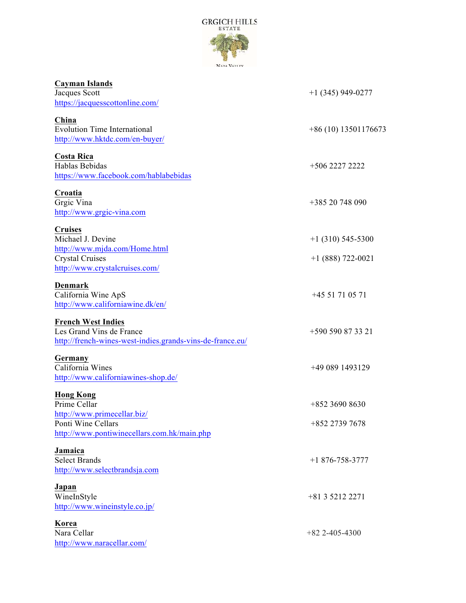

| Cayman Islands<br>Jacques Scott<br>https://jacquesscottonline.com/                                                                   | $+1$ (345) 949-0277                        |
|--------------------------------------------------------------------------------------------------------------------------------------|--------------------------------------------|
| China<br><b>Evolution Time International</b><br>http://www.hktdc.com/en-buyer/                                                       | $+86(10)$ 13501176673                      |
| Costa Rica<br>Hablas Bebidas<br>https://www.facebook.com/hablabebidas                                                                | +506 2227 2222                             |
| Croatia<br>Grgic Vina<br>http://www.grgic-vina.com                                                                                   | $+38520748090$                             |
| <b>Cruises</b><br>Michael J. Devine<br>http://www.mjda.com/Home.html<br><b>Crystal Cruises</b><br>http://www.crystalcruises.com/     | $+1$ (310) 545-5300<br>$+1$ (888) 722-0021 |
| Denmark<br>California Wine ApS<br>http://www.californiawine.dk/en/                                                                   | $+4551710571$                              |
| <b>French West Indies</b><br>Les Grand Vins de France<br>http://french-wines-west-indies.grands-vins-de-france.eu/                   | +590 590 87 33 21                          |
| Germany<br>California Wines<br>http://www.californiawines-shop.de/                                                                   | $+490891493129$                            |
| <b>Hong Kong</b><br>Prime Cellar<br>http://www.primecellar.biz/<br>Ponti Wine Cellars<br>http://www.pontiwinecellars.com.hk/main.php | +852 3690 8630<br>+852 2739 7678           |
| Jamaica<br><b>Select Brands</b><br>http://www.selectbrandsja.com                                                                     | $+1876 - 758 - 3777$                       |
| Japan<br>WineInStyle<br>http://www.wineinstyle.co.jp/                                                                                | +81 3 5212 2271                            |
| Korea<br>Nara Cellar<br>http://www.naracellar.com/                                                                                   | $+82$ 2-405-4300                           |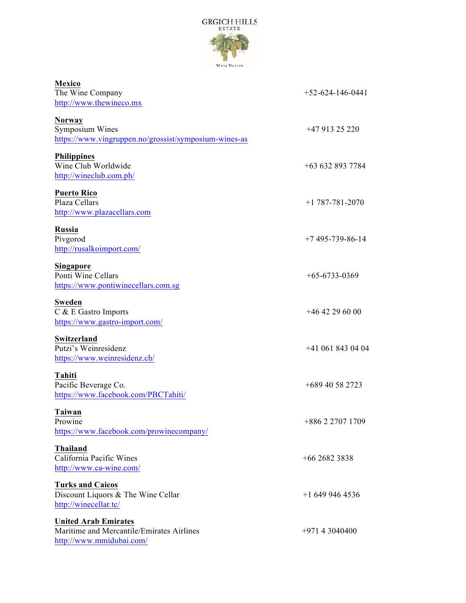

| Mexico<br>The Wine Company<br>http://www.thewineco.mx                                                | $+52 - 624 - 146 - 0441$ |
|------------------------------------------------------------------------------------------------------|--------------------------|
| <b>Norway</b><br>Symposium Wines<br>https://www.vingruppen.no/grossist/symposium-wines-as            | $+4791325220$            |
| <b>Philippines</b><br>Wine Club Worldwide<br>http://wineclub.com.ph/                                 | $+636328937784$          |
| <b>Puerto Rico</b><br>Plaza Cellars<br>http://www.plazacellars.com                                   | $+1$ 787-781-2070        |
| <b>Russia</b><br>Pivgorod<br>http://rusalkoimport.com/                                               | $+7$ 495-739-86-14       |
| <b>Singapore</b><br>Ponti Wine Cellars<br>https://www.pontiwinecellars.com.sg                        | $+65-6733-0369$          |
| <b>Sweden</b><br>C & E Gastro Imports<br>https://www.gastro-import.com/                              | $+46$ 42 29 60 00        |
| Switzerland<br>Putzi's Weinresidenz<br>https://www.weinresidenz.ch/                                  | $+41$ 061 843 04 04      |
| Tahiti<br>Pacific Beverage Co.<br>https://www.facebook.com/PBCTahiti/                                | +689 40 58 2723          |
| Taiwan<br>Prowine<br>https://www.facebook.com/prowinecompany/                                        | +886 2 2707 1709         |
| <b>Thailand</b><br>California Pacific Wines<br>http://www.ca-wine.com/                               | $+6626823838$            |
| <b>Turks and Caicos</b><br>Discount Liquors & The Wine Cellar<br>http://winecellar.tc/               | $+16499464536$           |
| <b>United Arab Emirates</b><br>Maritime and Mercantile/Emirates Airlines<br>http://www.mmidubai.com/ | $+97143040400$           |